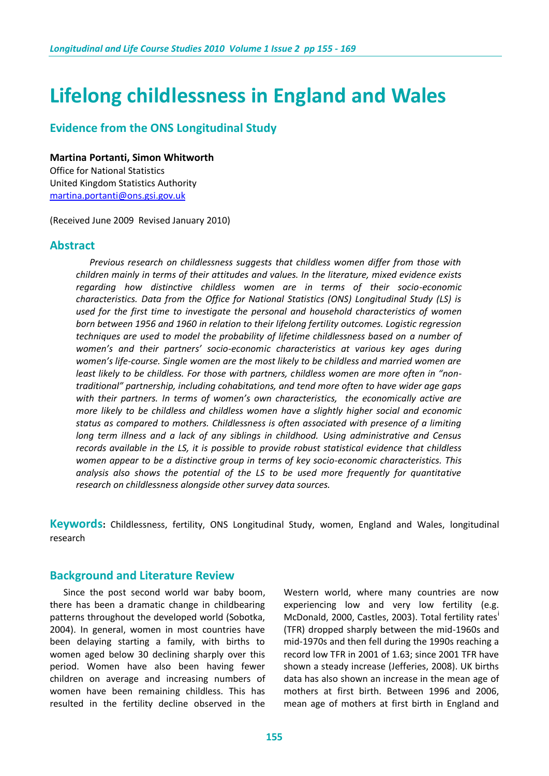# **Lifelong childlessness in England and Wales**

# **Evidence from the ONS Longitudinal Study**

#### **Martina Portanti, Simon Whitworth**

Office for National Statistics United Kingdom Statistics Authority [martina.portanti@ons.gsi.gov.uk](mailto:martina.portanti@ons.gsi.gov.uk)

(Received June 2009 Revised January 2010)

### **Abstract**

 *Previous research on childlessness suggests that childless women differ from those with children mainly in terms of their attitudes and values. In the literature, mixed evidence exists regarding how distinctive childless women are in terms of their socio-economic characteristics. Data from the Office for National Statistics (ONS) Longitudinal Study (LS) is used for the first time to investigate the personal and household characteristics of women born between 1956 and 1960 in relation to their lifelong fertility outcomes. Logistic regression techniques are used to model the probability of lifetime childlessness based on a number of women's and their partners' socio-economic characteristics at various key ages during women's life-course. Single women are the most likely to be childless and married women are least likely to be childless. For those with partners, childless women are more often in "nontraditional" partnership, including cohabitations, and tend more often to have wider age gaps with their partners. In terms of women's own characteristics, the economically active are more likely to be childless and childless women have a slightly higher social and economic status as compared to mothers. Childlessness is often associated with presence of a limiting long term illness and a lack of any siblings in childhood. Using administrative and Census records available in the LS, it is possible to provide robust statistical evidence that childless women appear to be a distinctive group in terms of key socio-economic characteristics. This analysis also shows the potential of the LS to be used more frequently for quantitative research on childlessness alongside other survey data sources.*

**Keywords:** Childlessness, fertility, ONS Longitudinal Study, women, England and Wales, longitudinal research

### **Background and Literature Review**

 Since the post second world war baby boom, there has been a dramatic change in childbearing patterns throughout the developed world (Sobotka, 2004). In general, women in most countries have been delaying starting a family, with births to women aged below 30 declining sharply over this period. Women have also been having fewer children on average and increasing numbers of women have been remaining childless. This has resulted in the fertility decline observed in the

Western world, where many countries are now experiencing low and very low fertility (e.g. McDonald, 2000, Castles, 2003). Total fertility rates (TFR) dropped sharply between the mid-1960s and mid-1970s and then fell during the 1990s reaching a record low TFR in 2001 of 1.63; since 2001 TFR have shown a steady increase (Jefferies, 2008). UK births data has also shown an increase in the mean age of mothers at first birth. Between 1996 and 2006, mean age of mothers at first birth in England and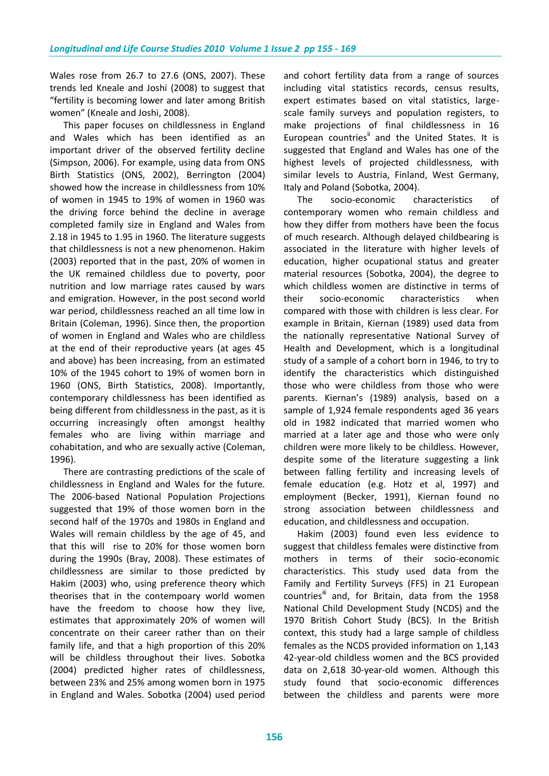Wales rose from 26.7 to 27.6 (ONS, 2007). These trends led Kneale and Joshi (2008) to suggest that "fertility is becoming lower and later among British women" (Kneale and Joshi, 2008).

 This paper focuses on childlessness in England and Wales which has been identified as an important driver of the observed fertility decline (Simpson, 2006). For example, using data from ONS Birth Statistics (ONS, 2002), Berrington (2004) showed how the increase in childlessness from 10% of women in 1945 to 19% of women in 1960 was the driving force behind the decline in average completed family size in England and Wales from 2.18 in 1945 to 1.95 in 1960. The literature suggests that childlessness is not a new phenomenon. Hakim (2003) reported that in the past, 20% of women in the UK remained childless due to poverty, poor nutrition and low marriage rates caused by wars and emigration. However, in the post second world war period, childlessness reached an all time low in Britain (Coleman, 1996). Since then, the proportion of women in England and Wales who are childless at the end of their reproductive years (at ages 45 and above) has been increasing, from an estimated 10% of the 1945 cohort to 19% of women born in 1960 (ONS, Birth Statistics, 2008). Importantly, contemporary childlessness has been identified as being different from childlessness in the past, as it is occurring increasingly often amongst healthy females who are living within marriage and cohabitation, and who are sexually active (Coleman, 1996).

 There are contrasting predictions of the scale of childlessness in England and Wales for the future. The 2006-based National Population Projections suggested that 19% of those women born in the second half of the 1970s and 1980s in England and Wales will remain childless by the age of 45, and that this will rise to 20% for those women born during the 1990s (Bray, 2008). These estimates of childlessness are similar to those predicted by Hakim (2003) who, using preference theory which theorises that in the contempoary world women have the freedom to choose how they live, estimates that approximately 20% of women will concentrate on their career rather than on their family life, and that a high proportion of this 20% will be childless throughout their lives. Sobotka (2004) predicted higher rates of childlessness, between 23% and 25% among women born in 1975 in England and Wales. Sobotka (2004) used period

and cohort fertility data from a range of sources including vital statistics records, census results, expert estimates based on vital statistics, largescale family surveys and population registers, to make projections of final childlessness in 16 European countries<sup>ii</sup> and the United States. It is suggested that England and Wales has one of the highest levels of projected childlessness, with similar levels to Austria, Finland, West Germany, Italy and Poland (Sobotka, 2004).

 The socio-economic characteristics of contemporary women who remain childless and how they differ from mothers have been the focus of much research. Although delayed childbearing is associated in the literature with higher levels of education, higher ocupational status and greater material resources (Sobotka, 2004), the degree to which childless women are distinctive in terms of their socio-economic characteristics when compared with those with children is less clear. For example in Britain, Kiernan (1989) used data from the nationally representative National Survey of Health and Development, which is a longitudinal study of a sample of a cohort born in 1946, to try to identify the characteristics which distinguished those who were childless from those who were parents. Kiernan's (1989) analysis, based on a sample of 1,924 female respondents aged 36 years old in 1982 indicated that married women who married at a later age and those who were only children were more likely to be childless. However, despite some of the literature suggesting a link between falling fertility and increasing levels of female education (e.g. Hotz et al, 1997) and employment (Becker, 1991), Kiernan found no strong association between childlessness and education, and childlessness and occupation.

 Hakim (2003) found even less evidence to suggest that childless females were distinctive from mothers in terms of their socio-economic characteristics. This study used data from the Family and Fertility Surveys (FFS) in 21 European countries<sup>"</sup> and, for Britain, data from the 1958 National Child Development Study (NCDS) and the 1970 British Cohort Study (BCS). In the British context, this study had a large sample of childless females as the NCDS provided information on 1,143 42-year-old childless women and the BCS provided data on 2,618 30-year-old women. Although this study found that socio-economic differences between the childless and parents were more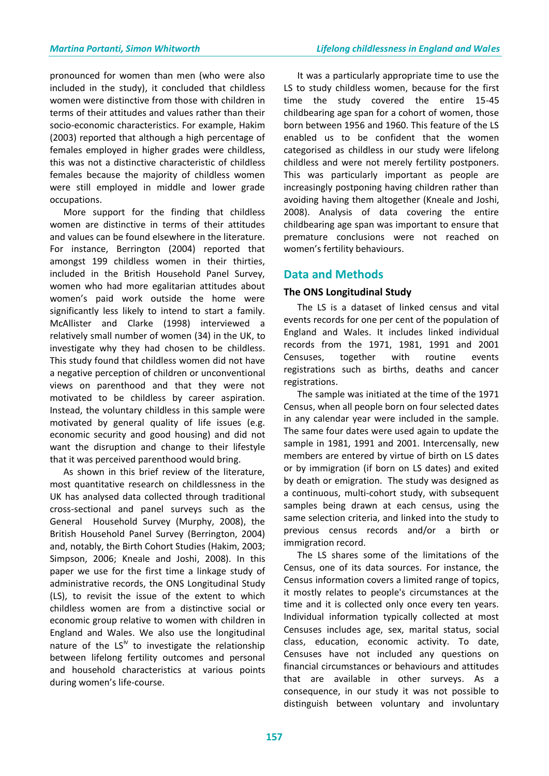pronounced for women than men (who were also included in the study), it concluded that childless women were distinctive from those with children in terms of their attitudes and values rather than their socio-economic characteristics. For example, Hakim (2003) reported that although a high percentage of females employed in higher grades were childless, this was not a distinctive characteristic of childless females because the majority of childless women were still employed in middle and lower grade occupations.

 More support for the finding that childless women are distinctive in terms of their attitudes and values can be found elsewhere in the literature. For instance, Berrington (2004) reported that amongst 199 childless women in their thirties, included in the British Household Panel Survey, women who had more egalitarian attitudes about women's paid work outside the home were significantly less likely to intend to start a family. McAllister and Clarke (1998) interviewed a relatively small number of women (34) in the UK, to investigate why they had chosen to be childless. This study found that childless women did not have a negative perception of children or unconventional views on parenthood and that they were not motivated to be childless by career aspiration. Instead, the voluntary childless in this sample were motivated by general quality of life issues (e.g. economic security and good housing) and did not want the disruption and change to their lifestyle that it was perceived parenthood would bring.

 As shown in this brief review of the literature, most quantitative research on childlessness in the UK has analysed data collected through traditional cross-sectional and panel surveys such as the General Household Survey (Murphy, 2008), the British Household Panel Survey (Berrington, 2004) and, notably, the Birth Cohort Studies (Hakim, 2003; Simpson, 2006; Kneale and Joshi, 2008). In this paper we use for the first time a linkage study of administrative records, the ONS Longitudinal Study (LS), to revisit the issue of the extent to which childless women are from a distinctive social or economic group relative to women with children in England and Wales. We also use the longitudinal nature of the  $LS<sup>N</sup>$  to investigate the relationship between lifelong fertility outcomes and personal and household characteristics at various points during women's life-course.

 It was a particularly appropriate time to use the LS to study childless women, because for the first time the study covered the entire 15-45 childbearing age span for a cohort of women, those born between 1956 and 1960. This feature of the LS enabled us to be confident that the women categorised as childless in our study were lifelong childless and were not merely fertility postponers. This was particularly important as people are increasingly postponing having children rather than avoiding having them altogether (Kneale and Joshi, 2008). Analysis of data covering the entire childbearing age span was important to ensure that premature conclusions were not reached on women's fertility behaviours.

# **Data and Methods**

### **The ONS Longitudinal Study**

 The LS is a dataset of linked census and vital events records for one per cent of the population of England and Wales. It includes linked individual records from the 1971, 1981, 1991 and 2001 Censuses, together with routine events registrations such as births, deaths and cancer registrations.

 The sample was initiated at the time of the 1971 Census, when all people born on four selected dates in any calendar year were included in the sample. The same four dates were used again to update the sample in 1981, 1991 and 2001. Intercensally, new members are entered by virtue of birth on LS dates or by immigration (if born on LS dates) and exited by death or emigration. The study was designed as a continuous, multi-cohort study, with subsequent samples being drawn at each census, using the same selection criteria, and linked into the study to previous census records and/or a birth or immigration record.

 The LS shares some of the limitations of the Census, one of its data sources. For instance, the Census information covers a limited range of topics, it mostly relates to people's circumstances at the time and it is collected only once every ten years. Individual information typically collected at most Censuses includes age, sex, marital status, social class, education, economic activity. To date, Censuses have not included any questions on financial circumstances or behaviours and attitudes that are available in other surveys. As a consequence, in our study it was not possible to distinguish between voluntary and involuntary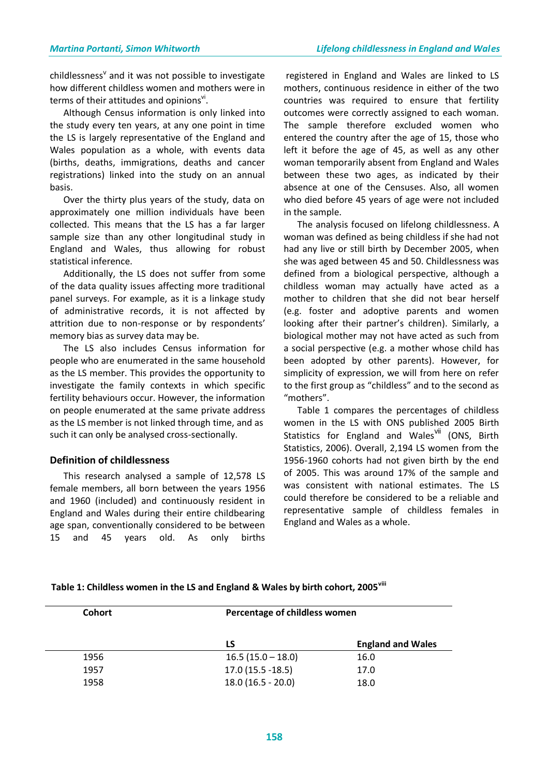childlessness<sup>v</sup> and it was not possible to investigate how different childless women and mothers were in terms of their attitudes and opinions".

 Although Census information is only linked into the study every ten years, at any one point in time the LS is largely representative of the England and Wales population as a whole, with events data (births, deaths, immigrations, deaths and cancer registrations) linked into the study on an annual basis.

 Over the thirty plus years of the study, data on approximately one million individuals have been collected. This means that the LS has a far larger sample size than any other longitudinal study in England and Wales, thus allowing for robust statistical inference.

 Additionally, the LS does not suffer from some of the data quality issues affecting more traditional panel surveys. For example, as it is a linkage study of administrative records, it is not affected by attrition due to non-response or by respondents' memory bias as survey data may be.

 The LS also includes Census information for people who are enumerated in the same household as the LS member. This provides the opportunity to investigate the family contexts in which specific fertility behaviours occur. However, the information on people enumerated at the same private address as the LS member is not linked through time, and as such it can only be analysed cross-sectionally.

### **Definition of childlessness**

 This research analysed a sample of 12,578 LS female members, all born between the years 1956 and 1960 (included) and continuously resident in England and Wales during their entire childbearing age span, conventionally considered to be between 15 and 45 years old. As only births

registered in England and Wales are linked to LS mothers, continuous residence in either of the two countries was required to ensure that fertility outcomes were correctly assigned to each woman. The sample therefore excluded women who entered the country after the age of 15, those who left it before the age of 45, as well as any other woman temporarily absent from England and Wales between these two ages, as indicated by their absence at one of the Censuses. Also, all women who died before 45 years of age were not included in the sample.

 The analysis focused on lifelong childlessness. A woman was defined as being childless if she had not had any live or still birth by December 2005, when she was aged between 45 and 50. Childlessness was defined from a biological perspective, although a childless woman may actually have acted as a mother to children that she did not bear herself (e.g. foster and adoptive parents and women looking after their partner's children). Similarly, a biological mother may not have acted as such from a social perspective (e.g. a mother whose child has been adopted by other parents). However, for simplicity of expression, we will from here on refer to the first group as "childless" and to the second as "mothers".

 Table 1 compares the percentages of childless women in the LS with ONS published 2005 Birth Statistics for England and Walesvil (ONS, Birth Statistics, 2006). Overall, 2,194 LS women from the 1956-1960 cohorts had not given birth by the end of 2005. This was around 17% of the sample and was consistent with national estimates. The LS could therefore be considered to be a reliable and representative sample of childless females in England and Wales as a whole.

| <b>Cohort</b> | Percentage of childless women |                          |  |
|---------------|-------------------------------|--------------------------|--|
|               | LS                            | <b>England and Wales</b> |  |
| 1956          | $16.5(15.0 - 18.0)$           | 16.0                     |  |
| 1957          | $17.0(15.5 - 18.5)$           | 17.0                     |  |
| 1958          | $18.0(16.5 - 20.0)$           | 18.0                     |  |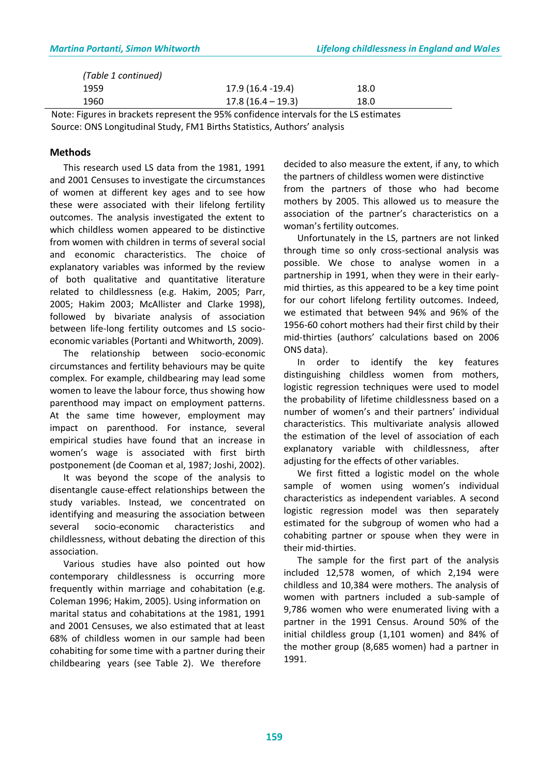| (Table 1 continued) |                     |      |  |
|---------------------|---------------------|------|--|
| 1959                | 17.9 (16.4 -19.4)   | 18.0 |  |
| 1960                | $17.8(16.4 - 19.3)$ | 18.0 |  |

Note: Figures in brackets represent the 95% confidence intervals for the LS estimates Source: ONS Longitudinal Study, FM1 Births Statistics, Authors' analysis

### **Methods**

 This research used LS data from the 1981, 1991 and 2001 Censuses to investigate the circumstances of women at different key ages and to see how these were associated with their lifelong fertility outcomes. The analysis investigated the extent to which childless women appeared to be distinctive from women with children in terms of several social and economic characteristics. The choice of explanatory variables was informed by the review of both qualitative and quantitative literature related to childlessness (e.g. Hakim, 2005; Parr, 2005; Hakim 2003; McAllister and Clarke 1998), followed by bivariate analysis of association between life-long fertility outcomes and LS socioeconomic variables (Portanti and Whitworth, 2009).

 The relationship between socio-economic circumstances and fertility behaviours may be quite complex. For example, childbearing may lead some women to leave the labour force, thus showing how parenthood may impact on employment patterns. At the same time however, employment may impact on parenthood. For instance, several empirical studies have found that an increase in women's wage is associated with first birth postponement (de Cooman et al, 1987; Joshi, 2002).

 It was beyond the scope of the analysis to disentangle cause-effect relationships between the study variables. Instead, we concentrated on identifying and measuring the association between several socio-economic characteristics and childlessness, without debating the direction of this association.

 Various studies have also pointed out how contemporary childlessness is occurring more frequently within marriage and cohabitation (e.g. Coleman 1996; Hakim, 2005). Using information on marital status and cohabitations at the 1981, 1991 and 2001 Censuses, we also estimated that at least 68% of childless women in our sample had been cohabiting for some time with a partner during their childbearing years (see Table 2). We therefore

decided to also measure the extent, if any, to which the partners of childless women were distinctive from the partners of those who had become mothers by 2005. This allowed us to measure the association of the partner's characteristics on a woman's fertility outcomes.

 Unfortunately in the LS, partners are not linked through time so only cross-sectional analysis was possible. We chose to analyse women in a partnership in 1991, when they were in their earlymid thirties, as this appeared to be a key time point for our cohort lifelong fertility outcomes. Indeed, we estimated that between 94% and 96% of the 1956-60 cohort mothers had their first child by their mid-thirties (authors' calculations based on 2006 ONS data).

 In order to identify the key features distinguishing childless women from mothers, logistic regression techniques were used to model the probability of lifetime childlessness based on a number of women's and their partners' individual characteristics. This multivariate analysis allowed the estimation of the level of association of each explanatory variable with childlessness, after adjusting for the effects of other variables.

 We first fitted a logistic model on the whole sample of women using women's individual characteristics as independent variables. A second logistic regression model was then separately estimated for the subgroup of women who had a cohabiting partner or spouse when they were in their mid-thirties.

 The sample for the first part of the analysis included 12,578 women, of which 2,194 were childless and 10,384 were mothers. The analysis of women with partners included a sub-sample of 9,786 women who were enumerated living with a partner in the 1991 Census. Around 50% of the initial childless group (1,101 women) and 84% of the mother group (8,685 women) had a partner in 1991.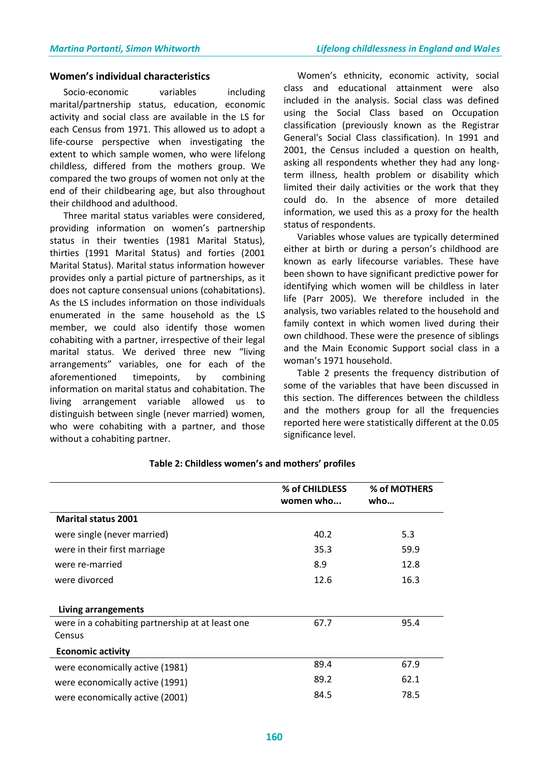#### **Women's individual characteristics**

Socio-economic variables including marital/partnership status, education, economic activity and social class are available in the LS for each Census from 1971. This allowed us to adopt a life-course perspective when investigating the extent to which sample women, who were lifelong childless, differed from the mothers group. We compared the two groups of women not only at the end of their childbearing age, but also throughout their childhood and adulthood.

 Three marital status variables were considered, providing information on women's partnership status in their twenties (1981 Marital Status), thirties (1991 Marital Status) and forties (2001 Marital Status). Marital status information however provides only a partial picture of partnerships, as it does not capture consensual unions (cohabitations). As the LS includes information on those individuals enumerated in the same household as the LS member, we could also identify those women cohabiting with a partner, irrespective of their legal marital status. We derived three new "living arrangements" variables, one for each of the aforementioned timepoints, by combining information on marital status and cohabitation. The living arrangement variable allowed us to distinguish between single (never married) women, who were cohabiting with a partner, and those without a cohabiting partner.

 Women's ethnicity, economic activity, social class and educational attainment were also included in the analysis. Social class was defined using the Social Class based on Occupation classification (previously known as the Registrar General's Social Class classification). In 1991 and 2001, the Census included a question on health, asking all respondents whether they had any longterm illness, health problem or disability which limited their daily activities or the work that they could do. In the absence of more detailed information, we used this as a proxy for the health status of respondents.

 Variables whose values are typically determined either at birth or during a person's childhood are known as early lifecourse variables. These have been shown to have significant predictive power for identifying which women will be childless in later life (Parr 2005). We therefore included in the analysis, two variables related to the household and family context in which women lived during their own childhood. These were the presence of siblings and the Main Economic Support social class in a woman's 1971 household.

 Table 2 presents the frequency distribution of some of the variables that have been discussed in this section. The differences between the childless and the mothers group for all the frequencies reported here were statistically different at the 0.05 significance level.

|                                                  | % of CHILDLESS<br>women who | % of MOTHERS<br>who |
|--------------------------------------------------|-----------------------------|---------------------|
| <b>Marital status 2001</b>                       |                             |                     |
| were single (never married)                      | 40.2                        | 5.3                 |
| were in their first marriage                     | 35.3                        | 59.9                |
| were re-married                                  | 8.9                         | 12.8                |
| were divorced                                    | 12.6                        | 16.3                |
| Living arrangements                              |                             |                     |
| were in a cohabiting partnership at at least one | 67.7                        | 95.4                |
| Census                                           |                             |                     |
| <b>Economic activity</b>                         |                             |                     |
| were economically active (1981)                  | 89.4                        | 67.9                |
| were economically active (1991)                  | 89.2                        | 62.1                |
| were economically active (2001)                  | 84.5                        | 78.5                |

#### **Table 2: Childless women's and mothers' profiles**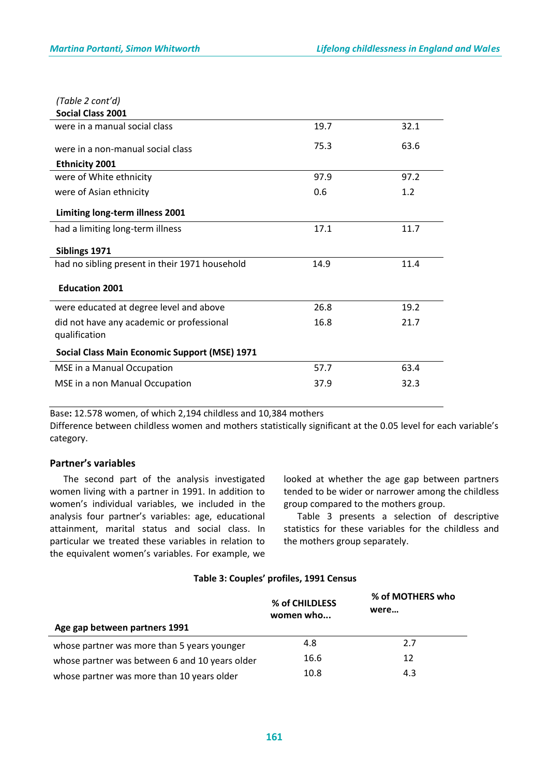| (Table 2 cont'd)                                           |      |      |
|------------------------------------------------------------|------|------|
| <b>Social Class 2001</b>                                   |      |      |
| were in a manual social class                              | 19.7 | 32.1 |
| were in a non-manual social class                          | 75.3 | 63.6 |
| <b>Ethnicity 2001</b>                                      |      |      |
| were of White ethnicity                                    | 97.9 | 97.2 |
| were of Asian ethnicity                                    | 0.6  | 1.2  |
| Limiting long-term illness 2001                            |      |      |
| had a limiting long-term illness                           | 17.1 | 11.7 |
| Siblings 1971                                              |      |      |
| had no sibling present in their 1971 household             | 14.9 | 11.4 |
| <b>Education 2001</b>                                      |      |      |
| were educated at degree level and above                    | 26.8 | 19.2 |
| did not have any academic or professional<br>qualification | 16.8 | 21.7 |
| Social Class Main Economic Support (MSE) 1971              |      |      |
| MSE in a Manual Occupation                                 | 57.7 | 63.4 |
| MSE in a non Manual Occupation                             | 37.9 | 32.3 |

Base**:** 12.578 women, of which 2,194 childless and 10,384 mothers

Difference between childless women and mothers statistically significant at the 0.05 level for each variable's category.

### **Partner's variables**

 The second part of the analysis investigated women living with a partner in 1991. In addition to women's individual variables, we included in the analysis four partner's variables: age, educational attainment, marital status and social class. In particular we treated these variables in relation to the equivalent women's variables. For example, we

looked at whether the age gap between partners tended to be wider or narrower among the childless group compared to the mothers group.

 Table 3 presents a selection of descriptive statistics for these variables for the childless and the mothers group separately.

### **Table 3: Couples' profiles, 1991 Census**

|                                                | % of CHILDLESS<br>women who | % of MOTHERS who<br>were |  |
|------------------------------------------------|-----------------------------|--------------------------|--|
| Age gap between partners 1991                  |                             |                          |  |
| whose partner was more than 5 years younger    | 4.8                         | 2.7                      |  |
| whose partner was between 6 and 10 years older | 16.6                        | 12                       |  |
| whose partner was more than 10 years older     | 10.8                        | 4.3                      |  |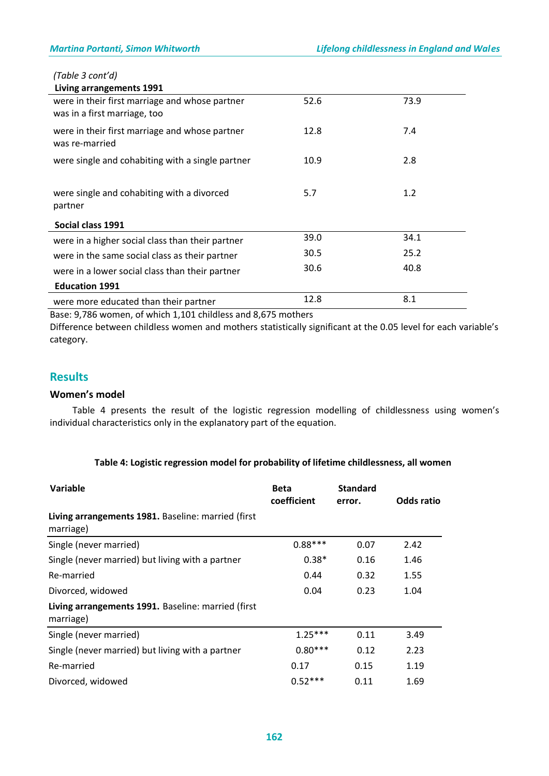# *(Table 3 cont'd)*

| Living arrangements 1991                                                       |      |      |  |
|--------------------------------------------------------------------------------|------|------|--|
| were in their first marriage and whose partner<br>was in a first marriage, too | 52.6 | 73.9 |  |
| were in their first marriage and whose partner<br>was re-married               | 12.8 | 7.4  |  |
| were single and cohabiting with a single partner                               | 10.9 | 2.8  |  |
| were single and cohabiting with a divorced<br>partner                          | 5.7  | 1.2  |  |
| Social class 1991                                                              |      |      |  |
| were in a higher social class than their partner                               | 39.0 | 34.1 |  |
| were in the same social class as their partner                                 | 30.5 | 25.2 |  |
| were in a lower social class than their partner                                | 30.6 | 40.8 |  |
| <b>Education 1991</b>                                                          |      |      |  |
| were more educated than their partner                                          | 12.8 | 8.1  |  |

Base: 9,786 women, of which 1,101 childless and 8,675 mothers

Difference between childless women and mothers statistically significant at the 0.05 level for each variable's category.

# **Results**

### **Women's model**

 Table 4 presents the result of the logistic regression modelling of childlessness using women's individual characteristics only in the explanatory part of the equation.

### **Table 4: Logistic regression model for probability of lifetime childlessness, all women**

| Variable                                                        | <b>Beta</b><br>coefficient | <b>Standard</b><br>error. | Odds ratio |
|-----------------------------------------------------------------|----------------------------|---------------------------|------------|
| Living arrangements 1981. Baseline: married (first<br>marriage) |                            |                           |            |
| Single (never married)                                          | $0.88***$                  | 0.07                      | 2.42       |
| Single (never married) but living with a partner                | $0.38*$                    | 0.16                      | 1.46       |
| Re-married                                                      | 0.44                       | 0.32                      | 1.55       |
| Divorced, widowed                                               | 0.04                       | 0.23                      | 1.04       |
| Living arrangements 1991. Baseline: married (first<br>marriage) |                            |                           |            |
| Single (never married)                                          | $1.25***$                  | 0.11                      | 3.49       |
| Single (never married) but living with a partner                | $0.80***$                  | 0.12                      | 2.23       |
| Re-married                                                      | 0.17                       | 0.15                      | 1.19       |
| Divorced, widowed                                               | $0.52***$                  | 0.11                      | 1.69       |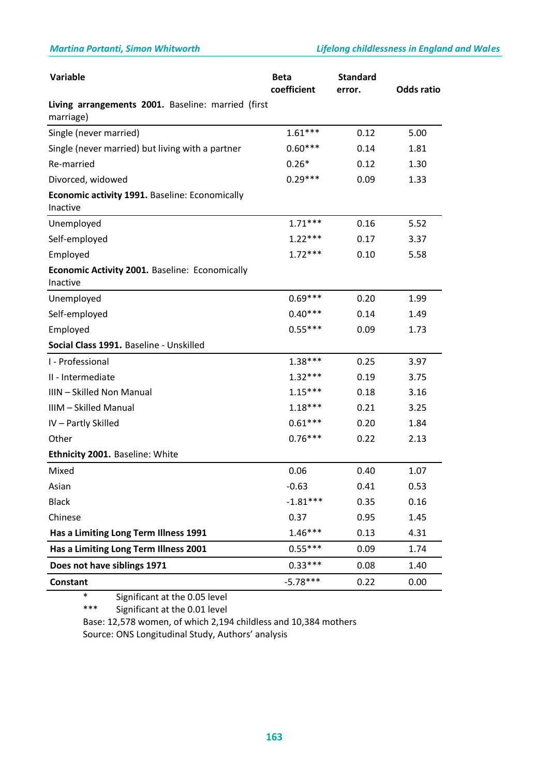| Variable                                                        | <b>Beta</b><br>coefficient | <b>Standard</b><br>error. | <b>Odds ratio</b> |
|-----------------------------------------------------------------|----------------------------|---------------------------|-------------------|
| Living arrangements 2001. Baseline: married (first<br>marriage) |                            |                           |                   |
| Single (never married)                                          | $1.61***$                  | 0.12                      | 5.00              |
| Single (never married) but living with a partner                | $0.60***$                  | 0.14                      | 1.81              |
| Re-married                                                      | $0.26*$                    | 0.12                      | 1.30              |
| Divorced, widowed                                               | $0.29***$                  | 0.09                      | 1.33              |
| Economic activity 1991. Baseline: Economically<br>Inactive      |                            |                           |                   |
| Unemployed                                                      | $1.71***$                  | 0.16                      | 5.52              |
| Self-employed                                                   | $1.22***$                  | 0.17                      | 3.37              |
| Employed                                                        | $1.72***$                  | 0.10                      | 5.58              |
| Economic Activity 2001. Baseline: Economically<br>Inactive      |                            |                           |                   |
| Unemployed                                                      | $0.69***$                  | 0.20                      | 1.99              |
| Self-employed                                                   | $0.40***$                  | 0.14                      | 1.49              |
| Employed                                                        | $0.55***$                  | 0.09                      | 1.73              |
| Social Class 1991. Baseline - Unskilled                         |                            |                           |                   |
| I - Professional                                                | $1.38***$                  | 0.25                      | 3.97              |
| II - Intermediate                                               | $1.32***$                  | 0.19                      | 3.75              |
| IIIN - Skilled Non Manual                                       | $1.15***$                  | 0.18                      | 3.16              |
| IIIM - Skilled Manual                                           | $1.18***$                  | 0.21                      | 3.25              |
| IV-Partly Skilled                                               | $0.61***$                  | 0.20                      | 1.84              |
| Other                                                           | $0.76***$                  | 0.22                      | 2.13              |
| Ethnicity 2001. Baseline: White                                 |                            |                           |                   |
| Mixed                                                           | 0.06                       | 0.40                      | 1.07              |
| Asian                                                           | $-0.63$                    | 0.41                      | 0.53              |
| <b>Black</b>                                                    | $-1.81***$                 | 0.35                      | 0.16              |
| Chinese                                                         | 0.37                       | 0.95                      | 1.45              |
| Has a Limiting Long Term Illness 1991                           | $1.46***$                  | 0.13                      | 4.31              |
| Has a Limiting Long Term Illness 2001                           | $0.55***$                  | 0.09                      | 1.74              |
| Does not have siblings 1971                                     | $0.33***$                  | 0.08                      | 1.40              |
| <b>Constant</b>                                                 | $-5.78***$                 | 0.22                      | 0.00              |

\* Significant at the 0.05 level

\*\*\* Significant at the 0.01 level

Base: 12,578 women, of which 2,194 childless and 10,384 mothers Source: ONS Longitudinal Study, Authors' analysis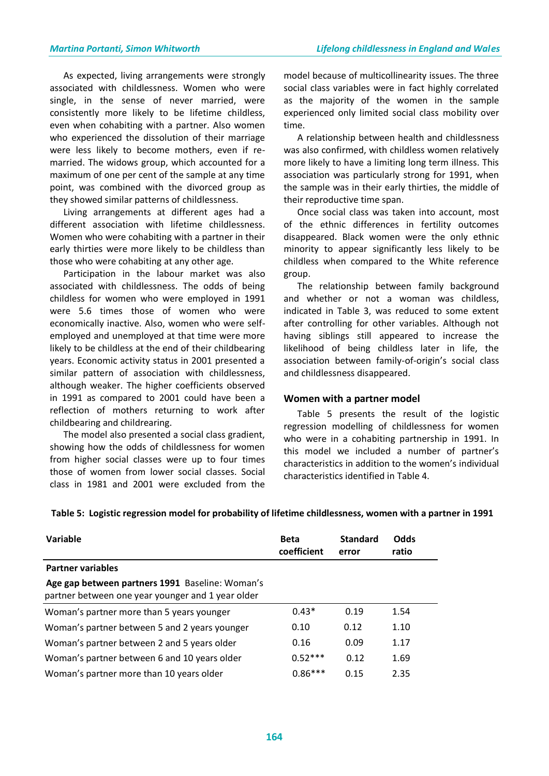As expected, living arrangements were strongly associated with childlessness. Women who were single, in the sense of never married, were consistently more likely to be lifetime childless, even when cohabiting with a partner. Also women who experienced the dissolution of their marriage were less likely to become mothers, even if remarried. The widows group, which accounted for a maximum of one per cent of the sample at any time point, was combined with the divorced group as they showed similar patterns of childlessness.

 Living arrangements at different ages had a different association with lifetime childlessness. Women who were cohabiting with a partner in their early thirties were more likely to be childless than those who were cohabiting at any other age.

 Participation in the labour market was also associated with childlessness. The odds of being childless for women who were employed in 1991 were 5.6 times those of women who were economically inactive. Also, women who were selfemployed and unemployed at that time were more likely to be childless at the end of their childbearing years. Economic activity status in 2001 presented a similar pattern of association with childlessness, although weaker. The higher coefficients observed in 1991 as compared to 2001 could have been a reflection of mothers returning to work after childbearing and childrearing.

 The model also presented a social class gradient, showing how the odds of childlessness for women from higher social classes were up to four times those of women from lower social classes. Social class in 1981 and 2001 were excluded from the

model because of multicollinearity issues. The three social class variables were in fact highly correlated as the majority of the women in the sample experienced only limited social class mobility over time.

 A relationship between health and childlessness was also confirmed, with childless women relatively more likely to have a limiting long term illness. This association was particularly strong for 1991, when the sample was in their early thirties, the middle of their reproductive time span.

 Once social class was taken into account, most of the ethnic differences in fertility outcomes disappeared. Black women were the only ethnic minority to appear significantly less likely to be childless when compared to the White reference group.

 The relationship between family background and whether or not a woman was childless, indicated in Table 3, was reduced to some extent after controlling for other variables. Although not having siblings still appeared to increase the likelihood of being childless later in life, the association between family-of-origin's social class and childlessness disappeared.

### **Women with a partner model**

 Table 5 presents the result of the logistic regression modelling of childlessness for women who were in a cohabiting partnership in 1991. In this model we included a number of partner's characteristics in addition to the women's individual characteristics identified in Table 4.

| Table 5: Logistic regression model for probability of lifetime childlessness, women with a partner in 1991 |
|------------------------------------------------------------------------------------------------------------|
|------------------------------------------------------------------------------------------------------------|

| Variable                                                                                             | <b>Beta</b><br>coefficient | <b>Standard</b><br>error | Odds<br>ratio |
|------------------------------------------------------------------------------------------------------|----------------------------|--------------------------|---------------|
| <b>Partner variables</b>                                                                             |                            |                          |               |
| Age gap between partners 1991 Baseline: Woman's<br>partner between one year younger and 1 year older |                            |                          |               |
| Woman's partner more than 5 years younger                                                            | $0.43*$                    | 0.19                     | 1.54          |
| Woman's partner between 5 and 2 years younger                                                        | 0.10                       | 0.12                     | 1.10          |
| Woman's partner between 2 and 5 years older                                                          | 0.16                       | 0.09                     | 1.17          |
| Woman's partner between 6 and 10 years older                                                         | $0.52***$                  | 0.12                     | 1.69          |
| Woman's partner more than 10 years older                                                             | $0.86***$                  | 0.15                     | 2.35          |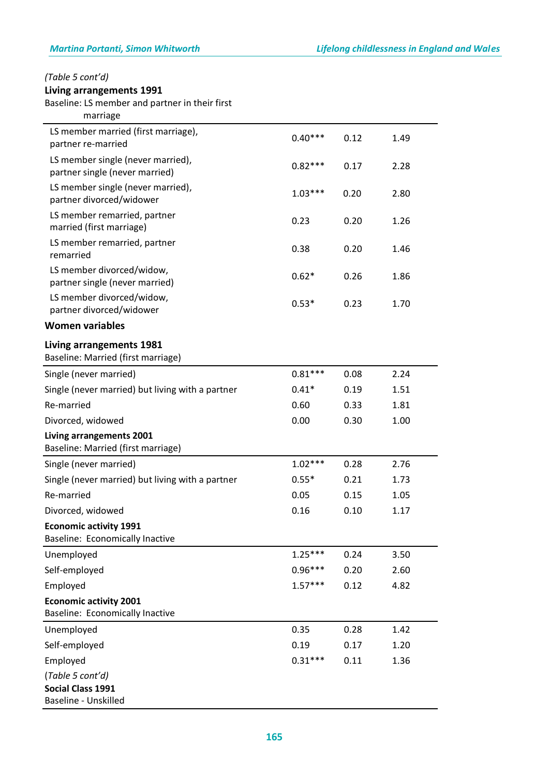# *(Table 5 cont'd)*

# **Living arrangements 1991**

Baseline: LS member and partner in their first

| marriage                                                                |           |      |      |
|-------------------------------------------------------------------------|-----------|------|------|
| LS member married (first marriage),                                     | $0.40***$ | 0.12 | 1.49 |
| partner re-married                                                      |           |      |      |
| LS member single (never married),<br>partner single (never married)     | $0.82***$ | 0.17 | 2.28 |
| LS member single (never married),<br>partner divorced/widower           | $1.03***$ | 0.20 | 2.80 |
| LS member remarried, partner<br>married (first marriage)                | 0.23      | 0.20 | 1.26 |
| LS member remarried, partner<br>remarried                               | 0.38      | 0.20 | 1.46 |
| LS member divorced/widow,<br>partner single (never married)             | $0.62*$   | 0.26 | 1.86 |
| LS member divorced/widow,<br>partner divorced/widower                   | $0.53*$   | 0.23 | 1.70 |
| <b>Women variables</b>                                                  |           |      |      |
| Living arrangements 1981<br>Baseline: Married (first marriage)          |           |      |      |
| Single (never married)                                                  | $0.81***$ | 0.08 | 2.24 |
| Single (never married) but living with a partner                        | $0.41*$   | 0.19 | 1.51 |
| Re-married                                                              | 0.60      | 0.33 | 1.81 |
| Divorced, widowed                                                       | 0.00      | 0.30 | 1.00 |
| Living arrangements 2001<br>Baseline: Married (first marriage)          |           |      |      |
| Single (never married)                                                  | $1.02***$ | 0.28 | 2.76 |
| Single (never married) but living with a partner                        | $0.55*$   | 0.21 | 1.73 |
| Re-married                                                              | 0.05      | 0.15 | 1.05 |
| Divorced, widowed                                                       | 0.16      | 0.10 | 1.17 |
| <b>Economic activity 1991</b><br>Baseline: Economically Inactive        |           |      |      |
| Unemployed                                                              | $1.25***$ | 0.24 | 3.50 |
| Self-employed                                                           | $0.96***$ | 0.20 | 2.60 |
| Employed                                                                | $1.57***$ | 0.12 | 4.82 |
| <b>Economic activity 2001</b><br><b>Baseline: Economically Inactive</b> |           |      |      |
| Unemployed                                                              | 0.35      | 0.28 | 1.42 |
| Self-employed                                                           | 0.19      | 0.17 | 1.20 |
| Employed                                                                | $0.31***$ | 0.11 | 1.36 |
| (Table 5 cont'd)<br><b>Social Class 1991</b><br>Baseline - Unskilled    |           |      |      |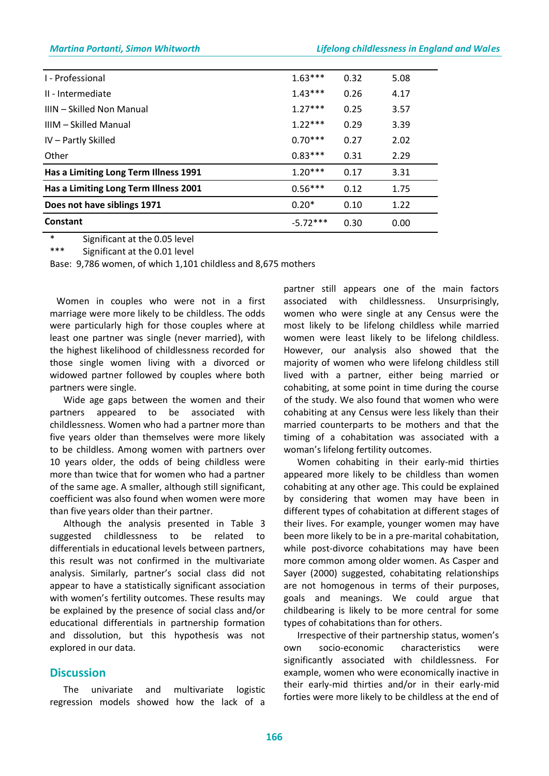| I - Professional                      | $1.63***$  | 0.32 | 5.08 |
|---------------------------------------|------------|------|------|
| II - Intermediate                     | $1.43***$  | 0.26 | 4.17 |
| IIIN – Skilled Non Manual             | $1.27***$  | 0.25 | 3.57 |
| IIIM - Skilled Manual                 | $1.22***$  | 0.29 | 3.39 |
| IV - Partly Skilled                   | $0.70***$  | 0.27 | 2.02 |
| Other                                 | $0.83***$  | 0.31 | 2.29 |
| Has a Limiting Long Term Illness 1991 | $1.20***$  | 0.17 | 3.31 |
| Has a Limiting Long Term Illness 2001 | $0.56***$  | 0.12 | 1.75 |
| Does not have siblings 1971           | $0.20*$    | 0.10 | 1.22 |
| Constant                              | $-5.72***$ | 0.30 | 0.00 |

\* Significant at the 0.05 level

\*\*\* Significant at the 0.01 level

Base: 9,786 women, of which 1,101 childless and 8,675 mothers

 Women in couples who were not in a first marriage were more likely to be childless. The odds were particularly high for those couples where at least one partner was single (never married), with the highest likelihood of childlessness recorded for those single women living with a divorced or widowed partner followed by couples where both partners were single.

 Wide age gaps between the women and their partners appeared to be associated with childlessness. Women who had a partner more than five years older than themselves were more likely to be childless. Among women with partners over 10 years older, the odds of being childless were more than twice that for women who had a partner of the same age. A smaller, although still significant, coefficient was also found when women were more than five years older than their partner.

 Although the analysis presented in Table 3 suggested childlessness to be related to differentials in educational levels between partners, this result was not confirmed in the multivariate analysis. Similarly, partner's social class did not appear to have a statistically significant association with women's fertility outcomes. These results may be explained by the presence of social class and/or educational differentials in partnership formation and dissolution, but this hypothesis was not explored in our data.

### **Discussion**

 The univariate and multivariate logistic regression models showed how the lack of a

partner still appears one of the main factors associated with childlessness. Unsurprisingly, women who were single at any Census were the most likely to be lifelong childless while married women were least likely to be lifelong childless. However, our analysis also showed that the majority of women who were lifelong childless still lived with a partner, either being married or cohabiting, at some point in time during the course of the study. We also found that women who were cohabiting at any Census were less likely than their married counterparts to be mothers and that the timing of a cohabitation was associated with a woman's lifelong fertility outcomes.

 Women cohabiting in their early-mid thirties appeared more likely to be childless than women cohabiting at any other age. This could be explained by considering that women may have been in different types of cohabitation at different stages of their lives. For example, younger women may have been more likely to be in a pre-marital cohabitation, while post-divorce cohabitations may have been more common among older women. As Casper and Sayer (2000) suggested, cohabitating relationships are not homogenous in terms of their purposes, goals and meanings. We could argue that childbearing is likely to be more central for some types of cohabitations than for others.

 Irrespective of their partnership status, women's own socio-economic characteristics were significantly associated with childlessness. For example, women who were economically inactive in their early-mid thirties and/or in their early-mid forties were more likely to be childless at the end of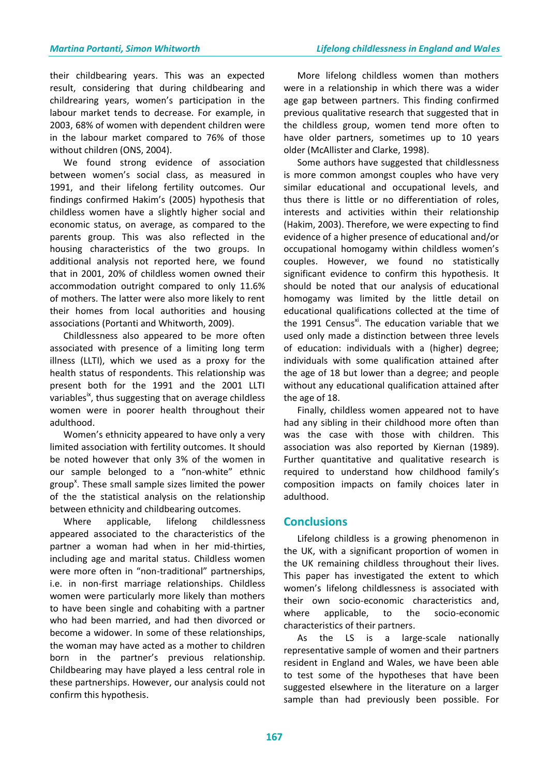their childbearing years. This was an expected result, considering that during childbearing and childrearing years, women's participation in the labour market tends to decrease. For example, in 2003, 68% of women with dependent children were in the labour market compared to 76% of those without children (ONS, 2004).

 We found strong evidence of association between women's social class, as measured in 1991, and their lifelong fertility outcomes. Our findings confirmed Hakim's (2005) hypothesis that childless women have a slightly higher social and economic status, on average, as compared to the parents group. This was also reflected in the housing characteristics of the two groups. In additional analysis not reported here, we found that in 2001, 20% of childless women owned their accommodation outright compared to only 11.6% of mothers. The latter were also more likely to rent their homes from local authorities and housing associations (Portanti and Whitworth, 2009).

 Childlessness also appeared to be more often associated with presence of a limiting long term illness (LLTI), which we used as a proxy for the health status of respondents. This relationship was present both for the 1991 and the 2001 LLTI variables<sup>18</sup>, thus suggesting that on average childless women were in poorer health throughout their adulthood.

 Women's ethnicity appeared to have only a very limited association with fertility outcomes. It should be noted however that only 3% of the women in our sample belonged to a "non-white" ethnic group<sup>x</sup>. These small sample sizes limited the power of the the statistical analysis on the relationship between ethnicity and childbearing outcomes.

 Where applicable, lifelong childlessness appeared associated to the characteristics of the partner a woman had when in her mid-thirties, including age and marital status. Childless women were more often in "non-traditional" partnerships, i.e. in non-first marriage relationships. Childless women were particularly more likely than mothers to have been single and cohabiting with a partner who had been married, and had then divorced or become a widower. In some of these relationships, the woman may have acted as a mother to children born in the partner's previous relationship. Childbearing may have played a less central role in these partnerships. However, our analysis could not confirm this hypothesis.

 More lifelong childless women than mothers were in a relationship in which there was a wider age gap between partners. This finding confirmed previous qualitative research that suggested that in the childless group, women tend more often to have older partners, sometimes up to 10 years older (McAllister and Clarke, 1998).

 Some authors have suggested that childlessness is more common amongst couples who have very similar educational and occupational levels, and thus there is little or no differentiation of roles, interests and activities within their relationship (Hakim, 2003). Therefore, we were expecting to find evidence of a higher presence of educational and/or occupational homogamy within childless women's couples. However, we found no statistically significant evidence to confirm this hypothesis. It should be noted that our analysis of educational homogamy was limited by the little detail on educational qualifications collected at the time of the 1991 Census<sup>xi</sup>. The education variable that we used only made a distinction between three levels of education: individuals with a (higher) degree; individuals with some qualification attained after the age of 18 but lower than a degree; and people without any educational qualification attained after the age of 18.

 Finally, childless women appeared not to have had any sibling in their childhood more often than was the case with those with children. This association was also reported by Kiernan (1989). Further quantitative and qualitative research is required to understand how childhood family's composition impacts on family choices later in adulthood.

# **Conclusions**

 Lifelong childless is a growing phenomenon in the UK, with a significant proportion of women in the UK remaining childless throughout their lives. This paper has investigated the extent to which women's lifelong childlessness is associated with their own socio-economic characteristics and, where applicable, to the socio-economic characteristics of their partners.

 As the LS is a large-scale nationally representative sample of women and their partners resident in England and Wales, we have been able to test some of the hypotheses that have been suggested elsewhere in the literature on a larger sample than had previously been possible. For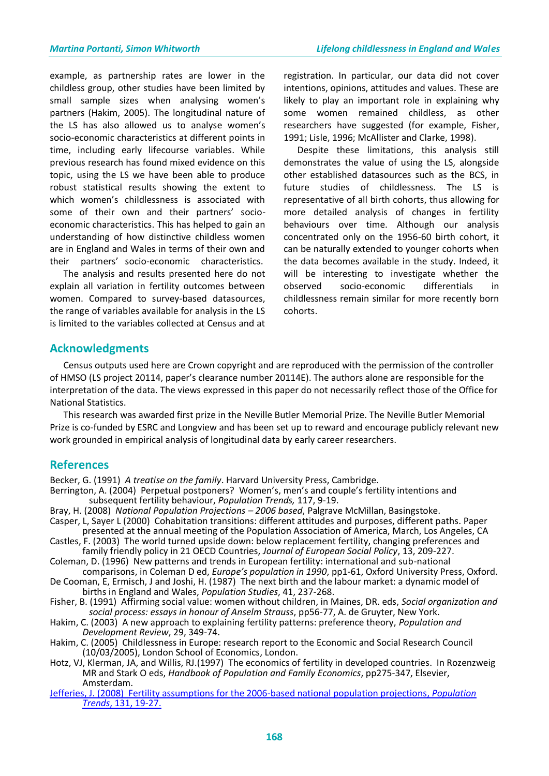example, as partnership rates are lower in the childless group, other studies have been limited by small sample sizes when analysing women's partners (Hakim, 2005). The longitudinal nature of the LS has also allowed us to analyse women's socio-economic characteristics at different points in time, including early lifecourse variables. While previous research has found mixed evidence on this topic, using the LS we have been able to produce robust statistical results showing the extent to which women's childlessness is associated with some of their own and their partners' socioeconomic characteristics. This has helped to gain an understanding of how distinctive childless women are in England and Wales in terms of their own and their partners' socio-economic characteristics.

 The analysis and results presented here do not explain all variation in fertility outcomes between women. Compared to survey-based datasources, the range of variables available for analysis in the LS is limited to the variables collected at Census and at

registration. In particular, our data did not cover intentions, opinions, attitudes and values. These are likely to play an important role in explaining why some women remained childless, as other researchers have suggested (for example, Fisher, 1991; Lisle, 1996; McAllister and Clarke, 1998).

 Despite these limitations, this analysis still demonstrates the value of using the LS, alongside other established datasources such as the BCS, in future studies of childlessness. The LS is representative of all birth cohorts, thus allowing for more detailed analysis of changes in fertility behaviours over time. Although our analysis concentrated only on the 1956-60 birth cohort, it can be naturally extended to younger cohorts when the data becomes available in the study. Indeed, it will be interesting to investigate whether the observed socio-economic differentials in childlessness remain similar for more recently born cohorts.

# **Acknowledgments**

 Census outputs used here are Crown copyright and are reproduced with the permission of the controller of HMSO (LS project 20114, paper's clearance number 20114E). The authors alone are responsible for the interpretation of the data. The views expressed in this paper do not necessarily reflect those of the Office for National Statistics.

 This research was awarded first prize in the Neville Butler Memorial Prize. The Neville Butler Memorial Prize is co-funded by ESRC and Longview and has been set up to reward and encourage publicly relevant new work grounded in empirical analysis of longitudinal data by early career researchers.

### **References**

Becker, G. (1991) *A treatise on the family*. Harvard University Press, Cambridge.

- Berrington, A. (2004) Perpetual postponers? Women's, men's and couple's fertility intentions and subsequent fertility behaviour, *Population Trends,* 117, 9-19.
- Bray, H. (2008) *National Population Projections – 2006 based*, Palgrave McMillan, Basingstoke. Casper, L, Sayer L (2000) Cohabitation transitions: different attitudes and purposes, different paths. Paper
- presented at the annual meeting of the Population Association of America, March, Los Angeles, CA Castles, F. (2003) The world turned upside down: below replacement fertility, changing preferences and
- family friendly policy in 21 OECD Countries, *Journal of European Social Policy*, 13, 209-227. Coleman, D. (1996) New patterns and trends in European fertility: international and sub-national
- comparisons, in Coleman D ed, *Europe's population in 1990*, pp1-61, Oxford University Press, Oxford. De Cooman, E, Ermisch, J and Joshi, H. (1987) The next birth and the labour market: a dynamic model of births in England and Wales, *Population Studies*, 41, 237-268.
- Fisher, B. (1991) Affirming social value: women without children, in Maines, DR. eds, *Social organization and social process: essays in honour of Anselm Strauss*, pp56-77, A. de Gruyter, New York.
- Hakim, C. (2003) A new approach to explaining fertility patterns: preference theory, *Population and Development Review*, 29, 349-74.
- Hakim, C. (2005) Childlessness in Europe: research report to the Economic and Social Research Council (10/03/2005), London School of Economics, London.
- Hotz, VJ, Klerman, JA, and Willis, RJ.(1997) The economics of fertility in developed countries. In Rozenzweig MR and Stark O eds, *Handbook of Population and Family Economics*, pp275-347, Elsevier, Amsterdam.
- [Jefferies, J. \(2008\) Fertility assumptions for the 2006-based national population projections,](http://www.statistics.gov.uk/downloads/theme_population/Population_Trends_131_web.pdf) *Population Trends*[, 131, 19-27.](http://www.statistics.gov.uk/downloads/theme_population/Population_Trends_131_web.pdf)